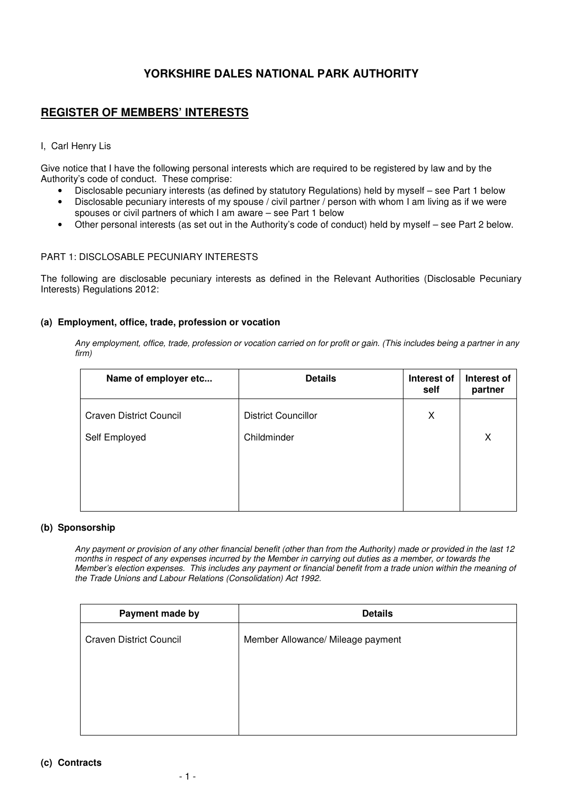# **YORKSHIRE DALES NATIONAL PARK AUTHORITY**

## **REGISTER OF MEMBERS' INTERESTS**

## I, Carl Henry Lis

Give notice that I have the following personal interests which are required to be registered by law and by the Authority's code of conduct. These comprise:

- Disclosable pecuniary interests (as defined by statutory Regulations) held by myself see Part 1 below
- Disclosable pecuniary interests of my spouse / civil partner / person with whom I am living as if we were spouses or civil partners of which I am aware – see Part 1 below
- Other personal interests (as set out in the Authority's code of conduct) held by myself see Part 2 below.

### PART 1: DISCLOSABLE PECUNIARY INTERESTS

The following are disclosable pecuniary interests as defined in the Relevant Authorities (Disclosable Pecuniary Interests) Regulations 2012:

### **(a) Employment, office, trade, profession or vocation**

*Any employment, office, trade, profession or vocation carried on for profit or gain. (This includes being a partner in any firm)* 

| Name of employer etc           | <b>Details</b>             | Interest of<br>self | Interest of<br>partner |
|--------------------------------|----------------------------|---------------------|------------------------|
| <b>Craven District Council</b> | <b>District Councillor</b> | X                   |                        |
| Self Employed                  | Childminder                |                     | X                      |
|                                |                            |                     |                        |
|                                |                            |                     |                        |
|                                |                            |                     |                        |

### **(b) Sponsorship**

*Any payment or provision of any other financial benefit (other than from the Authority) made or provided in the last 12 months in respect of any expenses incurred by the Member in carrying out duties as a member, or towards the Member's election expenses. This includes any payment or financial benefit from a trade union within the meaning of the Trade Unions and Labour Relations (Consolidation) Act 1992.* 

| Payment made by                | <b>Details</b>                    |
|--------------------------------|-----------------------------------|
| <b>Craven District Council</b> | Member Allowance/ Mileage payment |
|                                |                                   |
|                                |                                   |
|                                |                                   |
|                                |                                   |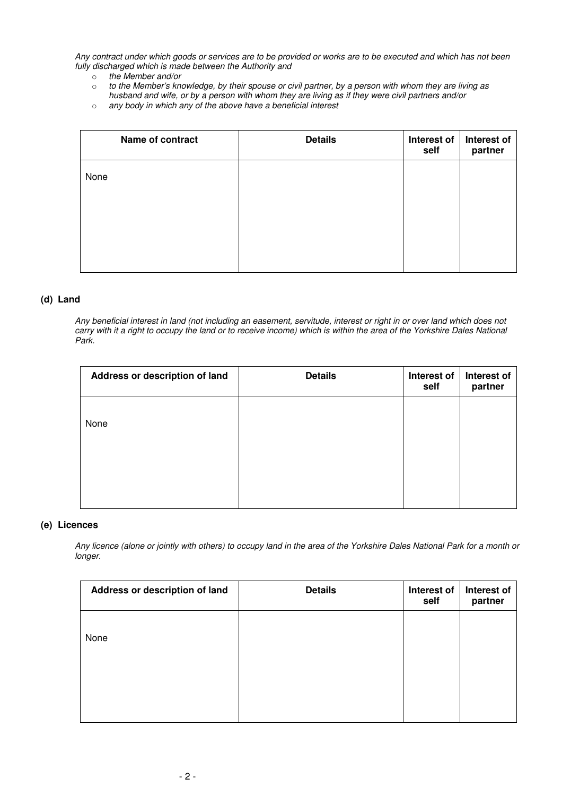*Any contract under which goods or services are to be provided or works are to be executed and which has not been fully discharged which is made between the Authority and* 

- o *the Member and/or*
- o *to the Member's knowledge, by their spouse or civil partner, by a person with whom they are living as husband and wife, or by a person with whom they are living as if they were civil partners and/or*
- o *any body in which any of the above have a beneficial interest*

| Name of contract | <b>Details</b> | Interest of<br>self | Interest of<br>partner |
|------------------|----------------|---------------------|------------------------|
| None             |                |                     |                        |
|                  |                |                     |                        |
|                  |                |                     |                        |
|                  |                |                     |                        |

#### **(d) Land**

*Any beneficial interest in land (not including an easement, servitude, interest or right in or over land which does not carry with it a right to occupy the land or to receive income) which is within the area of the Yorkshire Dales National Park.* 

| Address or description of land | <b>Details</b> | Interest of<br>self | Interest of<br>partner |
|--------------------------------|----------------|---------------------|------------------------|
| None                           |                |                     |                        |
|                                |                |                     |                        |
|                                |                |                     |                        |

#### **(e) Licences**

*Any licence (alone or jointly with others) to occupy land in the area of the Yorkshire Dales National Park for a month or longer.* 

| Address or description of land | <b>Details</b> | Interest of<br>self | Interest of<br>partner |
|--------------------------------|----------------|---------------------|------------------------|
| None                           |                |                     |                        |
|                                |                |                     |                        |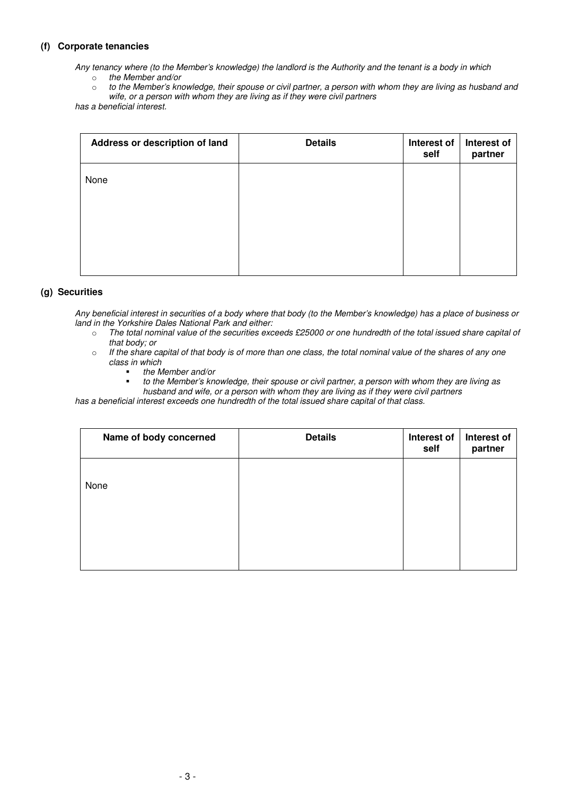## **(f) Corporate tenancies**

*Any tenancy where (to the Member's knowledge) the landlord is the Authority and the tenant is a body in which* 

- o *the Member and/or*
- o *to the Member's knowledge, their spouse or civil partner, a person with whom they are living as husband and wife, or a person with whom they are living as if they were civil partners*

*has a beneficial interest.* 

| Address or description of land | <b>Details</b> | Interest of<br>self | Interest of<br>partner |
|--------------------------------|----------------|---------------------|------------------------|
| None                           |                |                     |                        |
|                                |                |                     |                        |
|                                |                |                     |                        |
|                                |                |                     |                        |

### **(g) Securities**

*Any beneficial interest in securities of a body where that body (to the Member's knowledge) has a place of business or land in the Yorkshire Dales National Park and either:*

- o *The total nominal value of the securities exceeds £25000 or one hundredth of the total issued share capital of that body; or*
- o *If the share capital of that body is of more than one class, the total nominal value of the shares of any one class in which* 
	- *the Member and/or*
	- *to the Member's knowledge, their spouse or civil partner, a person with whom they are living as husband and wife, or a person with whom they are living as if they were civil partners*

*has a beneficial interest exceeds one hundredth of the total issued share capital of that class.* 

| Name of body concerned | <b>Details</b> | Interest of<br>self | Interest of<br>partner |
|------------------------|----------------|---------------------|------------------------|
| None                   |                |                     |                        |
|                        |                |                     |                        |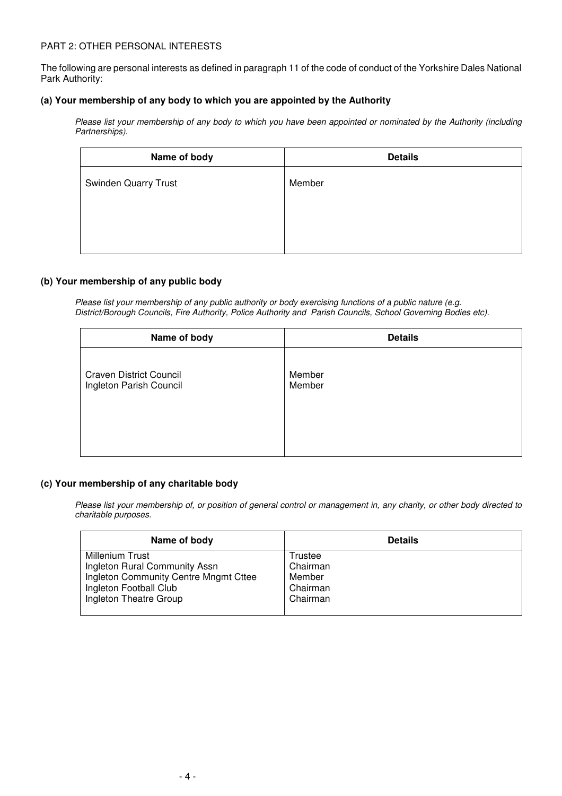### PART 2: OTHER PERSONAL INTERESTS

The following are personal interests as defined in paragraph 11 of the code of conduct of the Yorkshire Dales National Park Authority:

#### **(a) Your membership of any body to which you are appointed by the Authority**

*Please list your membership of any body to which you have been appointed or nominated by the Authority (including Partnerships).* 

| <b>Details</b> |
|----------------|
| Member         |
|                |
|                |
|                |
|                |

#### **(b) Your membership of any public body**

*Please list your membership of any public authority or body exercising functions of a public nature (e.g. District/Borough Councils, Fire Authority, Police Authority and Parish Councils, School Governing Bodies etc).*

| Name of body                   | <b>Details</b> |
|--------------------------------|----------------|
| <b>Craven District Council</b> | Member         |
| Ingleton Parish Council        | Member         |

### **(c) Your membership of any charitable body**

*Please list your membership of, or position of general control or management in, any charity, or other body directed to charitable purposes.* 

| Name of body                          | <b>Details</b> |
|---------------------------------------|----------------|
| <b>Millenium Trust</b>                | Trustee        |
| Ingleton Rural Community Assn         | Chairman       |
| Ingleton Community Centre Mngmt Cttee | Member         |
| Ingleton Football Club                | Chairman       |
| Ingleton Theatre Group                | Chairman       |
|                                       |                |